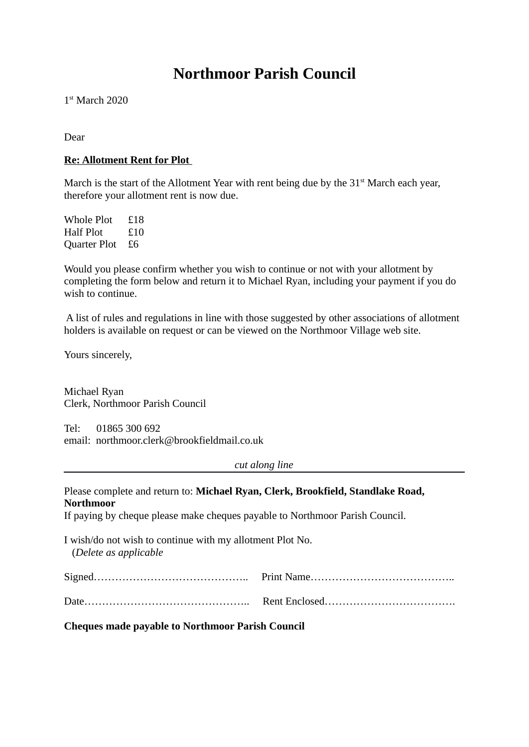# **Northmoor Parish Council**

1 st March 2020

Dear

### **Re: Allotment Rent for Plot**

March is the start of the Allotment Year with rent being due by the  $31<sup>st</sup>$  March each year, therefore your allotment rent is now due.

Whole Plot £18 Half Plot £10 Quarter Plot £6

Would you please confirm whether you wish to continue or not with your allotment by completing the form below and return it to Michael Ryan, including your payment if you do wish to continue.

 A list of rules and regulations in line with those suggested by other associations of allotment holders is available on request or can be viewed on the Northmoor Village web site.

Yours sincerely,

Michael Ryan Clerk, Northmoor Parish Council

Tel: 01865 300 692 email: northmoor.clerk@brookfieldmail.co.uk

*cut along line*

| Please complete and return to: Michael Ryan, Clerk, Brookfield, Standlake Road,    |  |
|------------------------------------------------------------------------------------|--|
| Northmoor                                                                          |  |
| If paying by cheque please make cheques payable to Northmoor Parish Council.       |  |
| I wish/do not wish to continue with my allotment Plot No.<br>(Delete as applicable |  |
|                                                                                    |  |
|                                                                                    |  |

**Cheques made payable to Northmoor Parish Council**